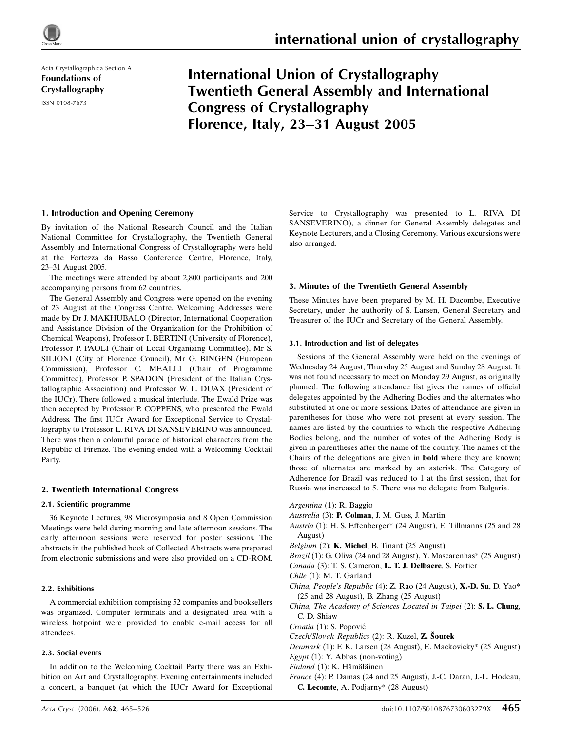

Acta Crystallographica Section A Foundations of Crystallography ISSN 0108-7673

# International Union of Crystallography Twentieth General Assembly and International Congress of Crystallography Florence, Italy, 23–31 August 2005

## 1. Introduction and Opening Ceremony

By invitation of the National Research Council and the Italian National Committee for Crystallography, the Twentieth General Assembly and International Congress of Crystallography were held at the Fortezza da Basso Conference Centre, Florence, Italy, 23–31 August 2005.

The meetings were attended by about 2,800 participants and 200 accompanying persons from 62 countries.

The General Assembly and Congress were opened on the evening of 23 August at the Congress Centre. Welcoming Addresses were made by Dr J. MAKHUBALO (Director, International Cooperation and Assistance Division of the Organization for the Prohibition of Chemical Weapons), Professor I. BERTINI (University of Florence), Professor P. PAOLI (Chair of Local Organizing Committee), Mr S. SILIONI (City of Florence Council), Mr G. BINGEN (European Commission), Professor C. MEALLI (Chair of Programme Committee), Professor P. SPADON (President of the Italian Crystallographic Association) and Professor W. L. DUAX (President of the IUCr). There followed a musical interlude. The Ewald Prize was then accepted by Professor P. COPPENS, who presented the Ewald Address. The first IUCr Award for Exceptional Service to Crystallography to Professor L. RIVA DI SANSEVERINO was announced. There was then a colourful parade of historical characters from the Republic of Firenze. The evening ended with a Welcoming Cocktail Party.

### 2. Twentieth International Congress

### 2.1. Scientific programme

36 Keynote Lectures, 98 Microsymposia and 8 Open Commission Meetings were held during morning and late afternoon sessions. The early afternoon sessions were reserved for poster sessions. The abstracts in the published book of Collected Abstracts were prepared from electronic submissions and were also provided on a CD-ROM.

### 2.2. Exhibitions

A commercial exhibition comprising 52 companies and booksellers was organized. Computer terminals and a designated area with a wireless hotpoint were provided to enable e-mail access for all attendees.

### 2.3. Social events

In addition to the Welcoming Cocktail Party there was an Exhibition on Art and Crystallography. Evening entertainments included a concert, a banquet (at which the IUCr Award for Exceptional Service to Crystallography was presented to L. RIVA DI SANSEVERINO), a dinner for General Assembly delegates and Keynote Lecturers, and a Closing Ceremony. Various excursions were also arranged.

### 3. Minutes of the Twentieth General Assembly

These Minutes have been prepared by M. H. Dacombe, Executive Secretary, under the authority of S. Larsen, General Secretary and Treasurer of the IUCr and Secretary of the General Assembly.

### 3.1. Introduction and list of delegates

Sessions of the General Assembly were held on the evenings of Wednesday 24 August, Thursday 25 August and Sunday 28 August. It was not found necessary to meet on Monday 29 August, as originally planned. The following attendance list gives the names of official delegates appointed by the Adhering Bodies and the alternates who substituted at one or more sessions. Dates of attendance are given in parentheses for those who were not present at every session. The names are listed by the countries to which the respective Adhering Bodies belong, and the number of votes of the Adhering Body is given in parentheses after the name of the country. The names of the Chairs of the delegations are given in bold where they are known; those of alternates are marked by an asterisk. The Category of Adherence for Brazil was reduced to 1 at the first session, that for Russia was increased to 5. There was no delegate from Bulgaria.

Argentina (1): R. Baggio

- Australia (3): P. Colman, J. M. Guss, J. Martin
- Austria (1): H. S. Effenberger\* (24 August), E. Tillmanns (25 and 28 August)
- Belgium (2): **K. Michel**, B. Tinant (25 August)
- Brazil (1): G. Oliva (24 and 28 August), Y. Mascarenhas\* (25 August)
- Canada (3): T. S. Cameron, L. T. J. Delbaere, S. Fortier
- Chile (1): M. T. Garland
- China, People's Republic (4): Z. Rao (24 August), X.-D. Su, D. Yao\* (25 and 28 August), B. Zhang (25 August)
- China, The Academy of Sciences Located in Taipei (2): S. L. Chung, C. D. Shiaw

Croatia (1): S. Popović

- $Czech/Slovak Republics (2): R. Kuzel, Z. Sourek$
- Denmark (1): F. K. Larsen (28 August), E. Mackovicky\* (25 August)

 $Egyrt$  (1): Y. Abbas (non-voting)

Finland (1): K. Hämäläinen

France (4): P. Damas (24 and 25 August), J.-C. Daran, J.-L. Hodeau, C. Lecomte, A. Podjarny\* (28 August)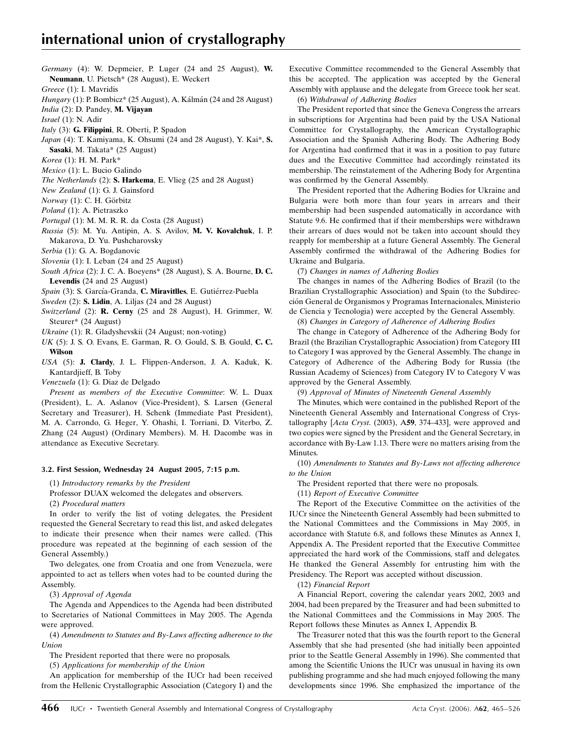Germany (4): W. Depmeier, P. Luger (24 and 25 August), W. Neumann, U. Pietsch\* (28 August), E. Weckert

Greece (1): I. Mavridis

Hungary (1): P. Bombicz\* (25 August), A. Kálmán (24 and 28 August)

India (2): D. Pandey, M. Vijayan

Israel (1): N. Adir

Italy (3): G. Filippini, R. Oberti, P. Spadon

Japan (4): T. Kamiyama, K. Ohsumi (24 and 28 August), Y. Kai\*, S. Sasaki, M. Takata\* (25 August)

Korea (1): H. M. Park\*

Mexico (1): L. Bucio Galindo

The Netherlands (2): S. Harkema, E. Vlieg (25 and 28 August)

New Zealand (1): G. J. Gainsford

Norway (1): C. H. Görbitz

Poland (1): A. Pietraszko

Portugal (1): M. M. R. R. da Costa (28 August)

Russia (5): M. Yu. Antipin, A. S. Avilov, M. V. Kovalchuk, I. P. Makarova, D. Yu. Pushcharovsky

Serbia (1): G. A. Bogdanovic

Slovenia (1): I. Leban (24 and 25 August)

South Africa (2): J. C. A. Boeyens\* (28 August), S. A. Bourne, D. C. Levendis (24 and 25 August)

Spain (3): S. García-Granda, C. Miravitlles, E. Gutiérrez-Puebla

Sweden (2): **S. Lidin**, A. Liljas (24 and 28 August)

Switzerland (2): R. Cerny (25 and 28 August), H. Grimmer, W. Steurer\* (24 August)

Ukraine (1): R. Gladyshevskii (24 August; non-voting)

UK (5): J. S. O. Evans, E. Garman, R. O. Gould, S. B. Gould, C. C. Wilson

USA (5): J. Clardy, J. L. Flippen-Anderson, J. A. Kaduk, K. Kantardjieff, B. Toby

Venezuela (1): G. Diaz de Delgado

Present as members of the Executive Committee: W. L. Duax (President), L. A. Aslanov (Vice-President), S. Larsen (General Secretary and Treasurer), H. Schenk (Immediate Past President), M. A. Carrondo, G. Heger, Y. Ohashi, I. Torriani, D. Viterbo, Z. Zhang (24 August) (Ordinary Members). M. H. Dacombe was in attendance as Executive Secretary.

### 3.2. First Session, Wednesday 24 August 2005, 7:15 p.m.

(1) Introductory remarks by the President

Professor DUAX welcomed the delegates and observers.

(2) Procedural matters

In order to verify the list of voting delegates, the President requested the General Secretary to read this list, and asked delegates to indicate their presence when their names were called. (This procedure was repeated at the beginning of each session of the General Assembly.)

Two delegates, one from Croatia and one from Venezuela, were appointed to act as tellers when votes had to be counted during the Assembly.

(3) Approval of Agenda

The Agenda and Appendices to the Agenda had been distributed to Secretaries of National Committees in May 2005. The Agenda were approved.

(4) Amendments to Statutes and By-Laws affecting adherence to the Union

The President reported that there were no proposals.

(5) Applications for membership of the Union

An application for membership of the IUCr had been received from the Hellenic Crystallographic Association (Category I) and the Executive Committee recommended to the General Assembly that this be accepted. The application was accepted by the General Assembly with applause and the delegate from Greece took her seat.

(6) Withdrawal of Adhering Bodies

The President reported that since the Geneva Congress the arrears in subscriptions for Argentina had been paid by the USA National Committee for Crystallography, the American Crystallographic Association and the Spanish Adhering Body. The Adhering Body for Argentina had confirmed that it was in a position to pay future dues and the Executive Committee had accordingly reinstated its membership. The reinstatement of the Adhering Body for Argentina was confirmed by the General Assembly.

The President reported that the Adhering Bodies for Ukraine and Bulgaria were both more than four years in arrears and their membership had been suspended automatically in accordance with Statute 9.6. He confirmed that if their memberships were withdrawn their arrears of dues would not be taken into account should they reapply for membership at a future General Assembly. The General Assembly confirmed the withdrawal of the Adhering Bodies for Ukraine and Bulgaria.

(7) Changes in names of Adhering Bodies

The changes in names of the Adhering Bodies of Brazil (to the Brazilian Crystallographic Association) and Spain (to the Subdirección General de Organismos y Programas Internacionales, Ministerio de Ciencia y Tecnologia) were accepted by the General Assembly.

(8) Changes in Category of Adherence of Adhering Bodies

The change in Category of Adherence of the Adhering Body for Brazil (the Brazilian Crystallographic Association) from Category III to Category I was approved by the General Assembly. The change in Category of Adherence of the Adhering Body for Russia (the Russian Academy of Sciences) from Category IV to Category V was approved by the General Assembly.

(9) Approval of Minutes of Nineteenth General Assembly

The Minutes, which were contained in the published Report of the Nineteenth General Assembly and International Congress of Crystallography [Acta Cryst. (2003), A59, 374–433], were approved and two copies were signed by the President and the General Secretary, in accordance with By-Law 1.13. There were no matters arising from the Minutes.

(10) Amendments to Statutes and By-Laws not affecting adherence to the Union

The President reported that there were no proposals.

(11) Report of Executive Committee

The Report of the Executive Committee on the activities of the IUCr since the Nineteenth General Assembly had been submitted to the National Committees and the Commissions in May 2005, in accordance with Statute 6.8, and follows these Minutes as Annex I, Appendix A. The President reported that the Executive Committee appreciated the hard work of the Commissions, staff and delegates. He thanked the General Assembly for entrusting him with the Presidency. The Report was accepted without discussion.

(12) Financial Report

A Financial Report, covering the calendar years 2002, 2003 and 2004, had been prepared by the Treasurer and had been submitted to the National Committees and the Commissions in May 2005. The Report follows these Minutes as Annex I, Appendix B.

The Treasurer noted that this was the fourth report to the General Assembly that she had presented (she had initially been appointed prior to the Seattle General Assembly in 1996). She commented that among the Scientific Unions the IUCr was unusual in having its own publishing programme and she had much enjoyed following the many developments since 1996. She emphasized the importance of the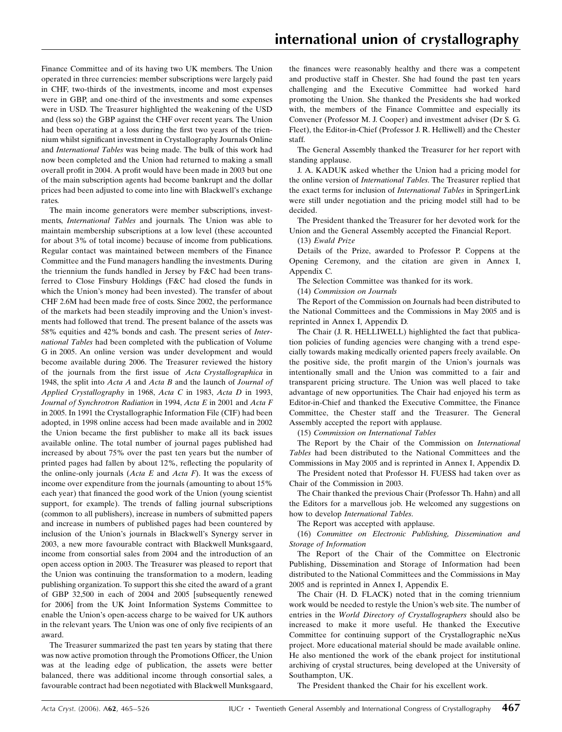Finance Committee and of its having two UK members. The Union operated in three currencies: member subscriptions were largely paid in CHF, two-thirds of the investments, income and most expenses were in GBP, and one-third of the investments and some expenses were in USD. The Treasurer highlighted the weakening of the USD and (less so) the GBP against the CHF over recent years. The Union had been operating at a loss during the first two years of the triennium whilst significant investment in Crystallography Journals Online and International Tables was being made. The bulk of this work had now been completed and the Union had returned to making a small overall profit in 2004. A profit would have been made in 2003 but one of the main subscription agents had become bankrupt and the dollar prices had been adjusted to come into line with Blackwell's exchange rates.

The main income generators were member subscriptions, investments, International Tables and journals. The Union was able to maintain membership subscriptions at a low level (these accounted for about 3% of total income) because of income from publications. Regular contact was maintained between members of the Finance Committee and the Fund managers handling the investments. During the triennium the funds handled in Jersey by F&C had been transferred to Close Finsbury Holdings (F&C had closed the funds in which the Union's money had been invested). The transfer of about CHF 2.6M had been made free of costs. Since 2002, the performance of the markets had been steadily improving and the Union's investments had followed that trend. The present balance of the assets was 58% equities and 42% bonds and cash. The present series of International Tables had been completed with the publication of Volume G in 2005. An online version was under development and would become available during 2006. The Treasurer reviewed the history of the journals from the first issue of Acta Crystallographica in 1948, the split into Acta A and Acta B and the launch of Journal of Applied Crystallography in 1968, Acta C in 1983, Acta D in 1993, Journal of Synchrotron Radiation in 1994, Acta E in 2001 and Acta F in 2005. In 1991 the Crystallographic Information File (CIF) had been adopted, in 1998 online access had been made available and in 2002 the Union became the first publisher to make all its back issues available online. The total number of journal pages published had increased by about 75% over the past ten years but the number of printed pages had fallen by about 12%, reflecting the popularity of the online-only journals ( $Acta \nE$  and  $Acta \nF$ ). It was the excess of income over expenditure from the journals (amounting to about 15% each year) that financed the good work of the Union (young scientist support, for example). The trends of falling journal subscriptions (common to all publishers), increase in numbers of submitted papers and increase in numbers of published pages had been countered by inclusion of the Union's journals in Blackwell's Synergy server in 2003, a new more favourable contract with Blackwell Munksgaard, income from consortial sales from 2004 and the introduction of an open access option in 2003. The Treasurer was pleased to report that the Union was continuing the transformation to a modern, leading publishing organization. To support this she cited the award of a grant of GBP 32,500 in each of 2004 and 2005 [subsequently renewed for 2006] from the UK Joint Information Systems Committee to enable the Union's open-access charge to be waived for UK authors in the relevant years. The Union was one of only five recipients of an award.

The Treasurer summarized the past ten years by stating that there was now active promotion through the Promotions Officer, the Union was at the leading edge of publication, the assets were better balanced, there was additional income through consortial sales, a favourable contract had been negotiated with Blackwell Munksgaard, the finances were reasonably healthy and there was a competent and productive staff in Chester. She had found the past ten years challenging and the Executive Committee had worked hard promoting the Union. She thanked the Presidents she had worked with, the members of the Finance Committee and especially its Convener (Professor M. J. Cooper) and investment adviser (Dr S. G. Fleet), the Editor-in-Chief (Professor J. R. Helliwell) and the Chester staff.

The General Assembly thanked the Treasurer for her report with standing applause.

J. A. KADUK asked whether the Union had a pricing model for the online version of International Tables. The Treasurer replied that the exact terms for inclusion of International Tables in SpringerLink were still under negotiation and the pricing model still had to be decided.

The President thanked the Treasurer for her devoted work for the Union and the General Assembly accepted the Financial Report.

(13) Ewald Prize

Details of the Prize, awarded to Professor P. Coppens at the Opening Ceremony, and the citation are given in Annex I, Appendix C.

The Selection Committee was thanked for its work.

(14) Commission on Journals

The Report of the Commission on Journals had been distributed to the National Committees and the Commissions in May 2005 and is reprinted in Annex I, Appendix D.

The Chair (J. R. HELLIWELL) highlighted the fact that publication policies of funding agencies were changing with a trend especially towards making medically oriented papers freely available. On the positive side, the profit margin of the Union's journals was intentionally small and the Union was committed to a fair and transparent pricing structure. The Union was well placed to take advantage of new opportunities. The Chair had enjoyed his term as Editor-in-Chief and thanked the Executive Committee, the Finance Committee, the Chester staff and the Treasurer. The General Assembly accepted the report with applause.

(15) Commission on International Tables

The Report by the Chair of the Commission on International Tables had been distributed to the National Committees and the Commissions in May 2005 and is reprinted in Annex I, Appendix D.

The President noted that Professor H. FUESS had taken over as Chair of the Commission in 2003.

The Chair thanked the previous Chair (Professor Th. Hahn) and all the Editors for a marvellous job. He welcomed any suggestions on how to develop International Tables.

The Report was accepted with applause.

(16) Committee on Electronic Publishing, Dissemination and Storage of Information

The Report of the Chair of the Committee on Electronic Publishing, Dissemination and Storage of Information had been distributed to the National Committees and the Commissions in May 2005 and is reprinted in Annex I, Appendix E.

The Chair (H. D. FLACK) noted that in the coming triennium work would be needed to restyle the Union's web site. The number of entries in the World Directory of Crystallographers should also be increased to make it more useful. He thanked the Executive Committee for continuing support of the Crystallographic neXus project. More educational material should be made available online. He also mentioned the work of the ebank project for institutional archiving of crystal structures, being developed at the University of Southampton, UK.

The President thanked the Chair for his excellent work.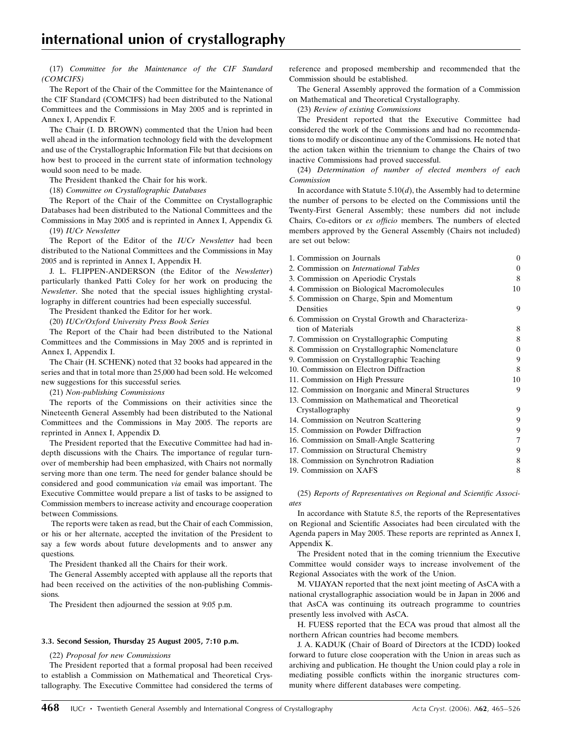(17) Committee for the Maintenance of the CIF Standard (COMCIFS)

The Report of the Chair of the Committee for the Maintenance of the CIF Standard (COMCIFS) had been distributed to the National Committees and the Commissions in May 2005 and is reprinted in Annex I, Appendix F.

The Chair (I. D. BROWN) commented that the Union had been well ahead in the information technology field with the development and use of the Crystallographic Information File but that decisions on how best to proceed in the current state of information technology would soon need to be made.

The President thanked the Chair for his work.

(18) Committee on Crystallographic Databases

The Report of the Chair of the Committee on Crystallographic Databases had been distributed to the National Committees and the Commissions in May 2005 and is reprinted in Annex I, Appendix G.

(19) IUCr Newsletter

The Report of the Editor of the *IUCr Newsletter* had been distributed to the National Committees and the Commissions in May 2005 and is reprinted in Annex I, Appendix H.

J. L. FLIPPEN-ANDERSON (the Editor of the Newsletter) particularly thanked Patti Coley for her work on producing the Newsletter. She noted that the special issues highlighting crystallography in different countries had been especially successful.

The President thanked the Editor for her work.

(20) IUCr/Oxford University Press Book Series

The Report of the Chair had been distributed to the National Committees and the Commissions in May 2005 and is reprinted in Annex I, Appendix I.

The Chair (H. SCHENK) noted that 32 books had appeared in the series and that in total more than 25,000 had been sold. He welcomed new suggestions for this successful series.

(21) Non-publishing Commissions

The reports of the Commissions on their activities since the Nineteenth General Assembly had been distributed to the National Committees and the Commissions in May 2005. The reports are reprinted in Annex I, Appendix D.

The President reported that the Executive Committee had had indepth discussions with the Chairs. The importance of regular turnover of membership had been emphasized, with Chairs not normally serving more than one term. The need for gender balance should be considered and good communication via email was important. The Executive Committee would prepare a list of tasks to be assigned to Commission members to increase activity and encourage cooperation between Commissions.

The reports were taken as read, but the Chair of each Commission, or his or her alternate, accepted the invitation of the President to say a few words about future developments and to answer any questions.

The President thanked all the Chairs for their work.

The General Assembly accepted with applause all the reports that had been received on the activities of the non-publishing Commissions.

The President then adjourned the session at 9:05 p.m.

#### 3.3. Second Session, Thursday 25 August 2005, 7:10 p.m.

(22) Proposal for new Commissions

The President reported that a formal proposal had been received to establish a Commission on Mathematical and Theoretical Crystallography. The Executive Committee had considered the terms of reference and proposed membership and recommended that the Commission should be established.

The General Assembly approved the formation of a Commission on Mathematical and Theoretical Crystallography.

(23) Review of existing Commissions

The President reported that the Executive Committee had considered the work of the Commissions and had no recommendations to modify or discontinue any of the Commissions. He noted that the action taken within the triennium to change the Chairs of two inactive Commissions had proved successful.

(24) Determination of number of elected members of each Commission

In accordance with Statute  $5.10(d)$ , the Assembly had to determine the number of persons to be elected on the Commissions until the Twenty-First General Assembly; these numbers did not include Chairs, Co-editors or ex officio members. The numbers of elected members approved by the General Assembly (Chairs not included) are set out below:

| 1. Commission on Journals                          | $\overline{0}$ |
|----------------------------------------------------|----------------|
| 2. Commission on <i>International Tables</i>       | $\theta$       |
| 3. Commission on Aperiodic Crystals                | 8              |
| 4. Commission on Biological Macromolecules         | 10             |
| 5. Commission on Charge, Spin and Momentum         |                |
| <b>Densities</b>                                   | 9              |
| 6. Commission on Crystal Growth and Characteriza-  |                |
| tion of Materials                                  | 8              |
| 7. Commission on Crystallographic Computing        | 8              |
| 8. Commission on Crystallographic Nomenclature     | $\theta$       |
| 9. Commission on Crystallographic Teaching         | 9              |
| 10. Commission on Electron Diffraction             | 8              |
| 11. Commission on High Pressure                    | 10             |
| 12. Commission on Inorganic and Mineral Structures | 9              |
| 13. Commission on Mathematical and Theoretical     |                |
| Crystallography                                    | 9              |
| 14. Commission on Neutron Scattering               | 9              |
| 15. Commission on Powder Diffraction               | 9              |
| 16. Commission on Small-Angle Scattering           | 7              |
| 17. Commission on Structural Chemistry             | 9              |
| 18. Commission on Synchrotron Radiation            | 8              |
| 19. Commission on XAFS                             | 8              |

(25) Reports of Representatives on Regional and Scientific Associates

In accordance with Statute 8.5, the reports of the Representatives on Regional and Scientific Associates had been circulated with the Agenda papers in May 2005. These reports are reprinted as Annex I, Appendix K.

The President noted that in the coming triennium the Executive Committee would consider ways to increase involvement of the Regional Associates with the work of the Union.

M. VIJAYAN reported that the next joint meeting of AsCA with a national crystallographic association would be in Japan in 2006 and that AsCA was continuing its outreach programme to countries presently less involved with AsCA.

H. FUESS reported that the ECA was proud that almost all the northern African countries had become members.

J. A. KADUK (Chair of Board of Directors at the ICDD) looked forward to future close cooperation with the Union in areas such as archiving and publication. He thought the Union could play a role in mediating possible conflicts within the inorganic structures community where different databases were competing.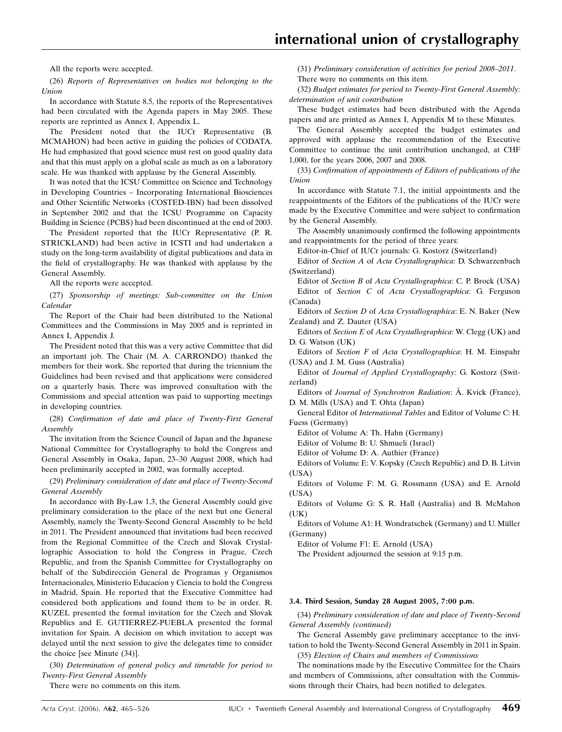All the reports were accepted.

(26) Reports of Representatives on bodies not belonging to the Union

In accordance with Statute 8.5, the reports of the Representatives had been circulated with the Agenda papers in May 2005. These reports are reprinted as Annex I, Appendix L.

The President noted that the IUCr Representative (B. MCMAHON) had been active in guiding the policies of CODATA. He had emphasized that good science must rest on good quality data and that this must apply on a global scale as much as on a laboratory scale. He was thanked with applause by the General Assembly.

It was noted that the ICSU Committee on Science and Technology in Developing Countries – Incorporating International Biosciences and Other Scientific Networks (COSTED-IBN) had been dissolved in September 2002 and that the ICSU Programme on Capacity Building in Science (PCBS) had been discontinued at the end of 2003.

The President reported that the IUCr Representative (P. R. STRICKLAND) had been active in ICSTI and had undertaken a study on the long-term availability of digital publications and data in the field of crystallography. He was thanked with applause by the General Assembly.

All the reports were accepted.

(27) Sponsorship of meetings: Sub-committee on the Union Calendar

The Report of the Chair had been distributed to the National Committees and the Commissions in May 2005 and is reprinted in Annex I, Appendix J.

The President noted that this was a very active Committee that did an important job. The Chair (M. A. CARRONDO) thanked the members for their work. She reported that during the triennium the Guidelines had been revised and that applications were considered on a quarterly basis. There was improved consultation with the Commissions and special attention was paid to supporting meetings in developing countries.

(28) Confirmation of date and place of Twenty-First General Assembly

The invitation from the Science Council of Japan and the Japanese National Committee for Crystallography to hold the Congress and General Assembly in Osaka, Japan, 23–30 August 2008, which had been preliminarily accepted in 2002, was formally accepted.

(29) Preliminary consideration of date and place of Twenty-Second General Assembly

In accordance with By-Law 1.3, the General Assembly could give preliminary consideration to the place of the next but one General Assembly, namely the Twenty-Second General Assembly to be held in 2011. The President announced that invitations had been received from the Regional Committee of the Czech and Slovak Crystallographic Association to hold the Congress in Prague, Czech Republic, and from the Spanish Committee for Crystallography on behalf of the Subdirección General de Programas y Organismos Internacionales, Ministerio Educacíon y Ciencia to hold the Congress in Madrid, Spain. He reported that the Executive Committee had considered both applications and found them to be in order. R. KUZEL presented the formal invitation for the Czech and Slovak Republics and E. GUTIERREZ-PUEBLA presented the formal invitation for Spain. A decision on which invitation to accept was delayed until the next session to give the delegates time to consider the choice [see Minute (34)].

(30) Determination of general policy and timetable for period to Twenty-First General Assembly

There were no comments on this item.

(31) Preliminary consideration of activities for period 2008–2011. There were no comments on this item.

(32) Budget estimates for period to Twenty-First General Assembly: determination of unit contribution

These budget estimates had been distributed with the Agenda papers and are printed as Annex I, Appendix M to these Minutes.

The General Assembly accepted the budget estimates and approved with applause the recommendation of the Executive Committee to continue the unit contribution unchanged, at CHF 1,000, for the years 2006, 2007 and 2008.

(33) Confirmation of appointments of Editors of publications of the Union

In accordance with Statute 7.1, the initial appointments and the reappointments of the Editors of the publications of the IUCr were made by the Executive Committee and were subject to confirmation by the General Assembly.

The Assembly unanimously confirmed the following appointments and reappointments for the period of three years:

Editor-in-Chief of IUCr journals: G. Kostorz (Switzerland)

Editor of Section A of Acta Crystallographica: D. Schwarzenbach (Switzerland)

Editor of Section B of Acta Crystallographica: C. P. Brock (USA) Editor of Section C of Acta Crystallographica: G. Ferguson (Canada)

Editors of Section D of Acta Crystallographica: E. N. Baker (New Zealand) and Z. Dauter (USA)

Editors of Section E of Acta Crystallographica: W. Clegg (UK) and D. G. Watson (UK)

Editors of Section F of Acta Crystallographica: H. M. Einspahr (USA) and J. M. Guss (Australia)

Editor of Journal of Applied Crystallography: G. Kostorz (Switzerland)

Editors of Journal of Synchrotron Radiation: A. Kvick (France), D. M. Mills (USA) and T. Ohta (Japan)

General Editor of International Tables and Editor of Volume C: H. Fuess (Germany)

Editor of Volume A: Th. Hahn (Germany)

Editor of Volume B: U. Shmueli (Israel)

Editor of Volume D: A. Authier (France)

Editors of Volume E: V. Kopsky (Czech Republic) and D. B. Litvin (USA)

Editors of Volume F: M. G. Rossmann (USA) and E. Arnold (USA)

Editors of Volume G: S. R. Hall (Australia) and B. McMahon  $(UK)$ 

Editors of Volume A1: H. Wondratschek (Germany) and U. Müller (Germany)

Editor of Volume F1: E. Arnold (USA)

The President adjourned the session at 9:15 p.m.

#### 3.4. Third Session, Sunday 28 August 2005, 7:00 p.m.

(34) Preliminary consideration of date and place of Twenty-Second General Assembly (continued)

The General Assembly gave preliminary acceptance to the invitation to hold the Twenty-Second General Assembly in 2011 in Spain.

(35) Election of Chairs and members of Commissions

The nominations made by the Executive Committee for the Chairs and members of Commissions, after consultation with the Commissions through their Chairs, had been notified to delegates.